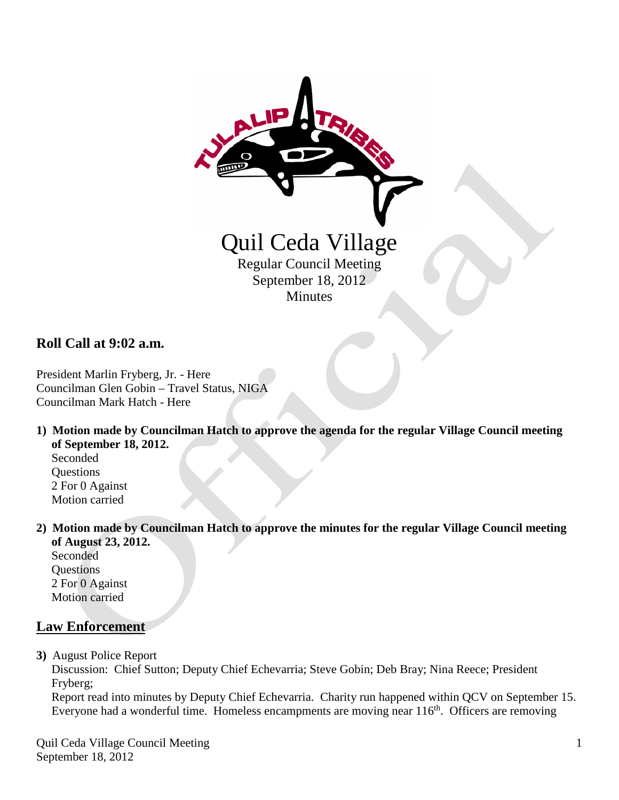

**Roll Call at 9:02 a.m.**

President Marlin Fryberg, Jr. - Here Councilman Glen Gobin – Travel Status, NIGA Councilman Mark Hatch - Here

**1) Motion made by Councilman Hatch to approve the agenda for the regular Village Council meeting of September 18, 2012.**

 Seconded **Questions**  2 For 0 Against Motion carried

**2) Motion made by Councilman Hatch to approve the minutes for the regular Village Council meeting of August 23, 2012.**

 Seconded **Questions**  2 For 0 Against Motion carried

# **Law Enforcement**

**3)** August Police Report

 Discussion: Chief Sutton; Deputy Chief Echevarria; Steve Gobin; Deb Bray; Nina Reece; President Fryberg;

 Report read into minutes by Deputy Chief Echevarria. Charity run happened within QCV on September 15. Everyone had a wonderful time. Homeless encampments are moving near  $116<sup>th</sup>$ . Officers are removing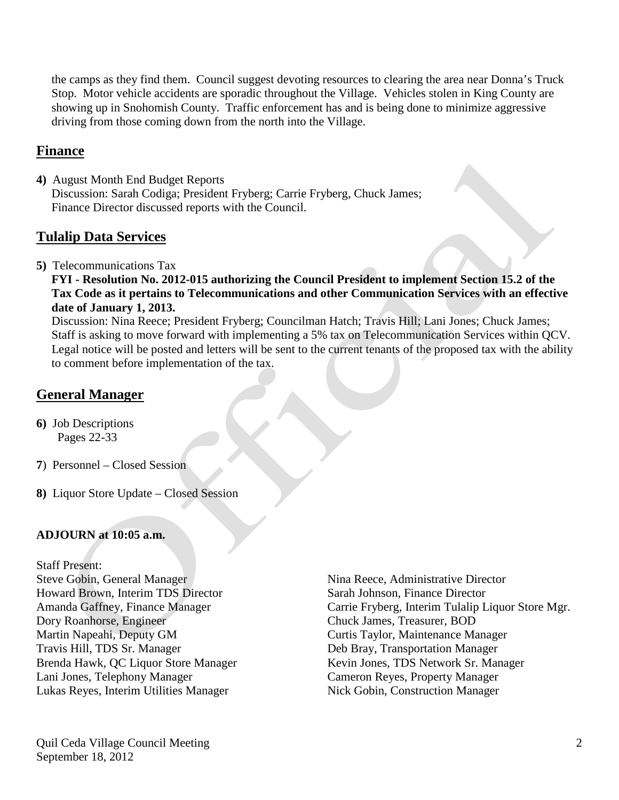the camps as they find them. Council suggest devoting resources to clearing the area near Donna's Truck Stop. Motor vehicle accidents are sporadic throughout the Village. Vehicles stolen in King County are showing up in Snohomish County. Traffic enforcement has and is being done to minimize aggressive driving from those coming down from the north into the Village.

## **Finance**

**4)** August Month End Budget Reports Discussion: Sarah Codiga; President Fryberg; Carrie Fryberg, Chuck James; Finance Director discussed reports with the Council.

### **Tulalip Data Services**

**5)** Telecommunications Tax

 **FYI - Resolution No. 2012-015 authorizing the Council President to implement Section 15.2 of the Tax Code as it pertains to Telecommunications and other Communication Services with an effective date of January 1, 2013.**

Discussion: Nina Reece; President Fryberg; Councilman Hatch; Travis Hill; Lani Jones; Chuck James; Staff is asking to move forward with implementing a 5% tax on Telecommunication Services within QCV. Legal notice will be posted and letters will be sent to the current tenants of the proposed tax with the ability to comment before implementation of the tax.

# **General Manager**

- **6)** Job Descriptions Pages 22-33
- **7**) Personnel Closed Session
- **8)** Liquor Store Update Closed Session

#### **ADJOURN at 10:05 a.m.**

Staff Present:

Steve Gobin, General Manager Nina Reece, Administrative Director Howard Brown, Interim TDS Director Sarah Johnson, Finance Director Dory Roanhorse, Engineer Chuck James, Treasurer, BOD<br>
Martin Napeahi, Deputy GM<br>
Curtis Taylor, Maintenance Ma Travis Hill, TDS Sr. Manager Deb Bray, Transportation Manager Brenda Hawk, QC Liquor Store Manager Kevin Jones, TDS Network Sr. Manager Lani Jones, Telephony Manager Cameron Reyes, Property Manager<br>
Lukas Reyes, Interim Utilities Manager Nick Gobin, Construction Manager Lukas Reyes, Interim Utilities Manager

Amanda Gaffney, Finance Manager Carrie Fryberg, Interim Tulalip Liquor Store Mgr. Curtis Taylor, Maintenance Manager